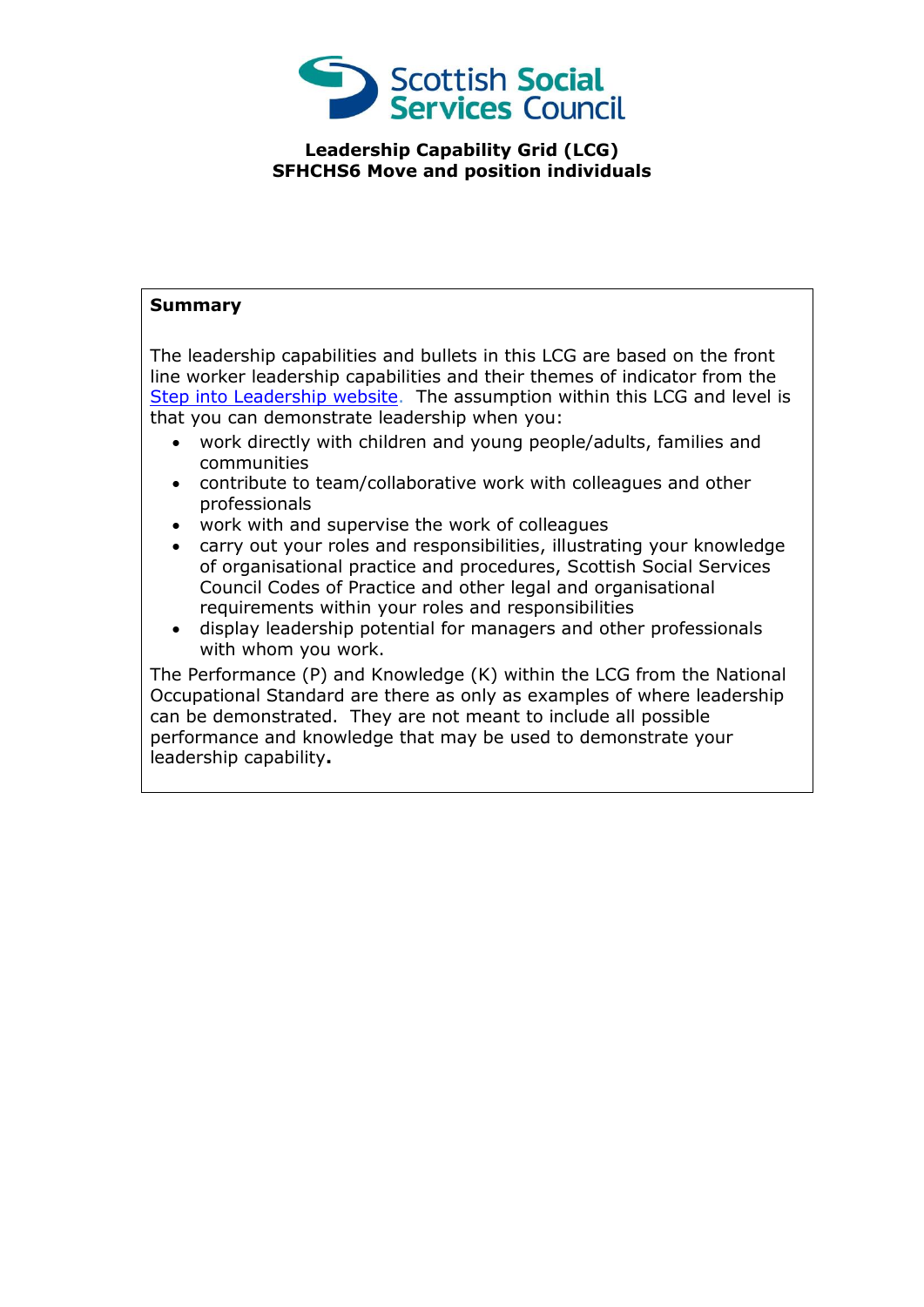

## **Leadership Capability Grid (LCG) SFHCHS6 Move and position individuals**

## **Summary**

The leadership capabilities and bullets in this LCG are based on the front line worker leadership capabilities and their themes of indicator from the [Step into Leadership website.](http://www.stepintoleadership.info/) The assumption within this LCG and level is that you can demonstrate leadership when you:

- work directly with children and young people/adults, families and communities
- contribute to team/collaborative work with colleagues and other professionals
- work with and supervise the work of colleagues
- carry out your roles and responsibilities, illustrating your knowledge of organisational practice and procedures, Scottish Social Services Council Codes of Practice and other legal and organisational requirements within your roles and responsibilities
- display leadership potential for managers and other professionals with whom you work.

The Performance (P) and Knowledge (K) within the LCG from the National Occupational Standard are there as only as examples of where leadership can be demonstrated. They are not meant to include all possible performance and knowledge that may be used to demonstrate your leadership capability**.**